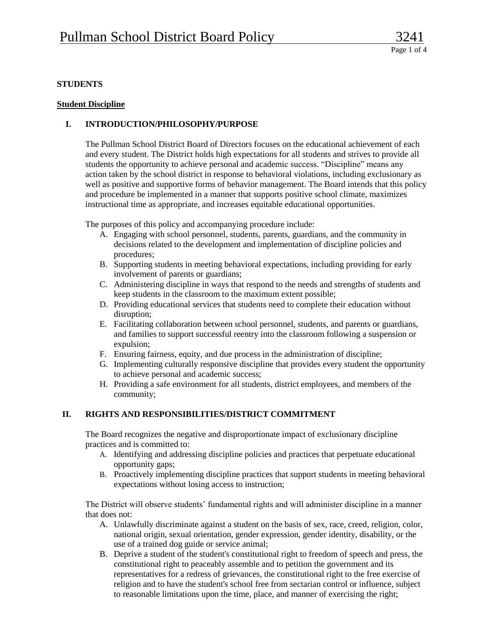## **STUDENTS**

## **Student Discipline**

# **I. INTRODUCTION/PHILOSOPHY/PURPOSE**

The Pullman School District Board of Directors focuses on the educational achievement of each and every student. The District holds high expectations for all students and strives to provide all students the opportunity to achieve personal and academic success. "Discipline" means any action taken by the school district in response to behavioral violations, including exclusionary as well as positive and supportive forms of behavior management. The Board intends that this policy and procedure be implemented in a manner that supports positive school climate, maximizes instructional time as appropriate, and increases equitable educational opportunities.

The purposes of this policy and accompanying procedure include:

- A. Engaging with school personnel, students, parents, guardians, and the community in decisions related to the development and implementation of discipline policies and procedures;
- B. Supporting students in meeting behavioral expectations, including providing for early involvement of parents or guardians;
- C. Administering discipline in ways that respond to the needs and strengths of students and keep students in the classroom to the maximum extent possible;
- D. Providing educational services that students need to complete their education without disruption;
- E. Facilitating collaboration between school personnel, students, and parents or guardians, and families to support successful reentry into the classroom following a suspension or expulsion;
- F. Ensuring fairness, equity, and due process in the administration of discipline;
- G. Implementing culturally responsive discipline that provides every student the opportunity to achieve personal and academic success;
- H. Providing a safe environment for all students, district employees, and members of the community;

## **II. RIGHTS AND RESPONSIBILITIES/DISTRICT COMMITMENT**

The Board recognizes the negative and disproportionate impact of exclusionary discipline practices and is committed to:

- A. Identifying and addressing discipline policies and practices that perpetuate educational opportunity gaps;
- B. Proactively implementing discipline practices that support students in meeting behavioral expectations without losing access to instruction;

The District will observe students' fundamental rights and will administer discipline in a manner that does not:

- A. Unlawfully discriminate against a student on the basis of sex, race, creed, religion, color, national origin, sexual orientation, gender expression, gender identity, disability, or the use of a trained dog guide or service animal;
- B. Deprive a student of the student's constitutional right to freedom of speech and press, the constitutional right to peaceably assemble and to petition the government and its representatives for a redress of grievances, the constitutional right to the free exercise of religion and to have the student's school free from sectarian control or influence, subject to reasonable limitations upon the time, place, and manner of exercising the right;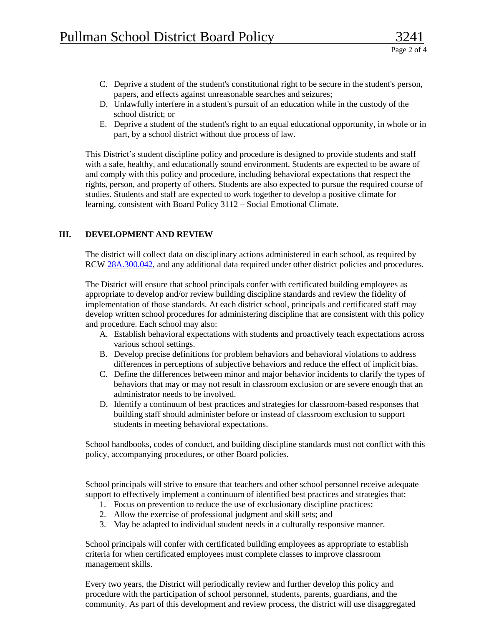- C. Deprive a student of the student's constitutional right to be secure in the student's person, papers, and effects against unreasonable searches and seizures;
- D. Unlawfully interfere in a student's pursuit of an education while in the custody of the school district; or
- E. Deprive a student of the student's right to an equal educational opportunity, in whole or in part, by a school district without due process of law.

This District's student discipline policy and procedure is designed to provide students and staff with a safe, healthy, and educationally sound environment. Students are expected to be aware of and comply with this policy and procedure, including behavioral expectations that respect the rights, person, and property of others. Students are also expected to pursue the required course of studies. Students and staff are expected to work together to develop a positive climate for learning, consistent with Board Policy 3112 – Social Emotional Climate.

## **III. DEVELOPMENT AND REVIEW**

The district will collect data on disciplinary actions administered in each school, as required by RCW [28A.300.042,](http://app.leg.wa.gov/RCW/default.aspx?cite=28A.300.042) and any additional data required under other district policies and procedures.

The District will ensure that school principals confer with certificated building employees as appropriate to develop and/or review building discipline standards and review the fidelity of implementation of those standards. At each district school, principals and certificated staff may develop written school procedures for administering discipline that are consistent with this policy and procedure. Each school may also:

- A. Establish behavioral expectations with students and proactively teach expectations across various school settings.
- B. Develop precise definitions for problem behaviors and behavioral violations to address differences in perceptions of subjective behaviors and reduce the effect of implicit bias.
- C. Define the differences between minor and major behavior incidents to clarify the types of behaviors that may or may not result in classroom exclusion or are severe enough that an administrator needs to be involved.
- D. Identify a continuum of best practices and strategies for classroom-based responses that building staff should administer before or instead of classroom exclusion to support students in meeting behavioral expectations.

School handbooks, codes of conduct, and building discipline standards must not conflict with this policy, accompanying procedures, or other Board policies.

School principals will strive to ensure that teachers and other school personnel receive adequate support to effectively implement a continuum of identified best practices and strategies that:

- 1. Focus on prevention to reduce the use of exclusionary discipline practices;
- 2. Allow the exercise of professional judgment and skill sets; and
- 3. May be adapted to individual student needs in a culturally responsive manner.

School principals will confer with certificated building employees as appropriate to establish criteria for when certificated employees must complete classes to improve classroom management skills.

Every two years, the District will periodically review and further develop this policy and procedure with the participation of school personnel, students, parents, guardians, and the community. As part of this development and review process, the district will use disaggregated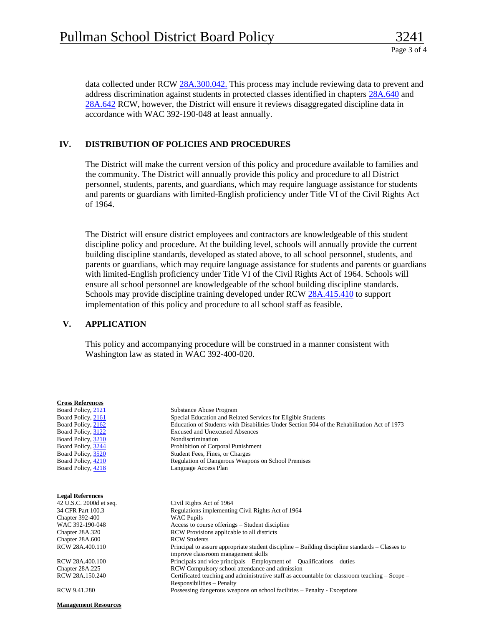data collected under RCW [28A.300.042.](http://app.leg.wa.gov/RCW/default.aspx?cite=28A.300.042) This process may include reviewing data to prevent and address discrimination against students in protected classes identified in chapters [28A.640](https://app.leg.wa.gov/rcw/default.aspx?cite=28A.640) and [28A.642](https://app.leg.wa.gov/rcw/default.aspx?cite=28A.642) RCW, however, the District will ensure it reviews disaggregated discipline data in accordance with WAC 392-190-048 at least annually.

## **IV. DISTRIBUTION OF POLICIES AND PROCEDURES**

The District will make the current version of this policy and procedure available to families and the community. The District will annually provide this policy and procedure to all District personnel, students, parents, and guardians, which may require language assistance for students and parents or guardians with limited-English proficiency under Title VI of the Civil Rights Act of 1964.

The District will ensure district employees and contractors are knowledgeable of this student discipline policy and procedure. At the building level, schools will annually provide the current building discipline standards, developed as stated above, to all school personnel, students, and parents or guardians, which may require language assistance for students and parents or guardians with limited-English proficiency under Title VI of the Civil Rights Act of 1964. Schools will ensure all school personnel are knowledgeable of the school building discipline standards. Schools may provide discipline training developed under RC[W 28A.415.410](http://app.leg.wa.gov/RCW/default.aspx?cite=28A.415.410) to support implementation of this policy and procedure to all school staff as feasible.

## **V. APPLICATION**

This policy and accompanying procedure will be construed in a manner consistent with Washington law as stated in WAC 392-400-020.

| <b>Cross References</b> |                                                                                                 |
|-------------------------|-------------------------------------------------------------------------------------------------|
| Board Policy, 2121      | Substance Abuse Program                                                                         |
| Board Policy, 2161      | Special Education and Related Services for Eligible Students                                    |
| Board Policy, 2162      | Education of Students with Disabilities Under Section 504 of the Rehabilitation Act of 1973     |
| Board Policy, 3122      | Excused and Unexcused Absences                                                                  |
| Board Policy, 3210      | Nondiscrimination                                                                               |
| Board Policy, 3244      | Prohibition of Corporal Punishment                                                              |
| Board Policy, 3520      | Student Fees, Fines, or Charges                                                                 |
| Board Policy, 4210      | Regulation of Dangerous Weapons on School Premises                                              |
| Board Policy, 4218      | Language Access Plan                                                                            |
|                         |                                                                                                 |
| <b>Legal References</b> |                                                                                                 |
| 42 U.S.C. 2000d et seq. | Civil Rights Act of 1964                                                                        |
| 34 CFR Part 100.3       | Regulations implementing Civil Rights Act of 1964                                               |
| Chapter 392-400         | <b>WAC Pupils</b>                                                                               |
| WAC 392-190-048         | Access to course offerings – Student discipline                                                 |
| Chapter 28A.320         | RCW Provisions applicable to all districts                                                      |
| Chapter 28A.600         | <b>RCW Students</b>                                                                             |
| RCW 28A.400.110         | Principal to assure appropriate student discipline – Building discipline standards – Classes to |
|                         | improve classroom management skills                                                             |
| RCW 28A.400.100         | Principals and vice principals – Employment of – Qualifications – duties                        |
| Chapter 28A.225         | RCW Compulsory school attendance and admission                                                  |
| RCW 28A.150.240         | Certificated teaching and administrative staff as accountable for classroom teaching – Scope –  |
|                         | Responsibilities - Penalty                                                                      |
| RCW 9.41.280            | Possessing dangerous weapons on school facilities – Penalty - Exceptions                        |
|                         |                                                                                                 |

**Management Resources**